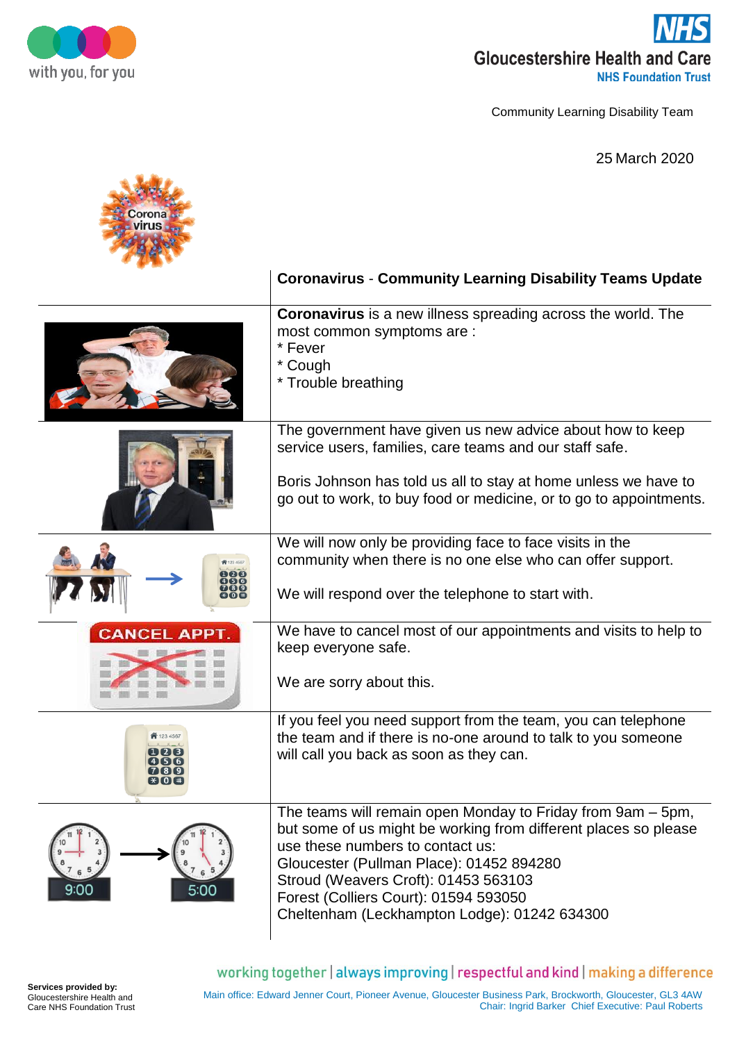

Community Learning Disability Team

25 March 2020

|                      | <b>Coronavirus - Community Learning Disability Teams Update</b>                                                                                                                                                                                                                                                                                 |
|----------------------|-------------------------------------------------------------------------------------------------------------------------------------------------------------------------------------------------------------------------------------------------------------------------------------------------------------------------------------------------|
|                      | <b>Coronavirus</b> is a new illness spreading across the world. The<br>most common symptoms are :<br>* Fever<br>* Cough<br>* Trouble breathing                                                                                                                                                                                                  |
|                      | The government have given us new advice about how to keep<br>service users, families, care teams and our staff safe.<br>Boris Johnson has told us all to stay at home unless we have to<br>go out to work, to buy food or medicine, or to go to appointments.                                                                                   |
|                      | We will now only be providing face to face visits in the<br>community when there is no one else who can offer support.<br>We will respond over the telephone to start with.                                                                                                                                                                     |
| <b>CANCEL APPT.</b>  | We have to cancel most of our appointments and visits to help to<br>keep everyone safe.<br>We are sorry about this.                                                                                                                                                                                                                             |
| 123 456<br>$*$ 0 $*$ | If you feel you need support from the team, you can telephone<br>the team and if there is no-one around to talk to you someone<br>will call you back as soon as they can.                                                                                                                                                                       |
| 5:00                 | The teams will remain open Monday to Friday from 9am - 5pm,<br>but some of us might be working from different places so please<br>use these numbers to contact us:<br>Gloucester (Pullman Place): 01452 894280<br>Stroud (Weavers Croft): 01453 563103<br>Forest (Colliers Court): 01594 593050<br>Cheltenham (Leckhampton Lodge): 01242 634300 |

working together | always improving | respectful and kind | making a difference

**Services provided by:** Gloucestershire Health and Care NHS Foundation Trust